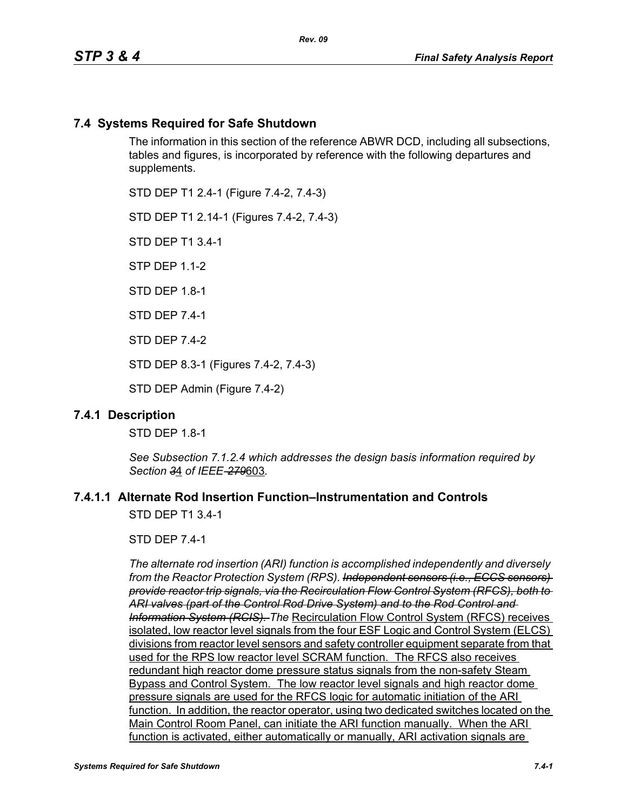# **7.4 Systems Required for Safe Shutdown**

The information in this section of the reference ABWR DCD, including all subsections, tables and figures, is incorporated by reference with the following departures and supplements.

STD DEP T1 2.4-1 (Figure 7.4-2, 7.4-3)

STD DEP T1 2.14-1 (Figures 7.4-2, 7.4-3)

STD DEP T1 3.4-1

STP DEP 1.1-2

STD DFP 18-1

STD DEP 7.4-1

STD DEP 7.4-2

STD DEP 8.3-1 (Figures 7.4-2, 7.4-3)

STD DEP Admin (Figure 7.4-2)

#### **7.4.1 Description**

STD DEP 1.8-1

*See Subsection 7.1.2.4 which addresses the design basis information required by Section 3*4 *of IEEE-279*603*.*

## **7.4.1.1 Alternate Rod Insertion Function–Instrumentation and Controls**

STD DEP T1 3.4-1

STD DEP 7.4-1

*The alternate rod insertion (ARI) function is accomplished independently and diversely from the Reactor Protection System (RPS). Independent sensors (i.e., ECCS sensors) provide reactor trip signals, via the Recirculation Flow Control System (RFCS), both to ARI valves (part of the Control Rod Drive System) and to the Rod Control and Information System (RCIS). The* Recirculation Flow Control System (RFCS) receives isolated, low reactor level signals from the four ESF Logic and Control System (ELCS) divisions from reactor level sensors and safety controller equipment separate from that used for the RPS low reactor level SCRAM function. The RFCS also receives redundant high reactor dome pressure status signals from the non-safety Steam Bypass and Control System. The low reactor level signals and high reactor dome pressure signals are used for the RFCS logic for automatic initiation of the ARI function. In addition, the reactor operator, using two dedicated switches located on the Main Control Room Panel, can initiate the ARI function manually. When the ARI function is activated, either automatically or manually, ARI activation signals are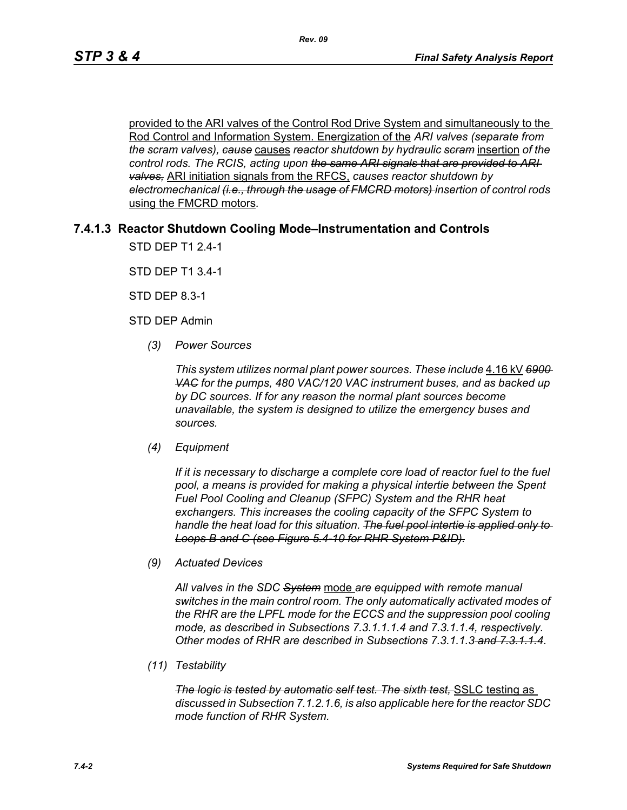provided to the ARI valves of the Control Rod Drive System and simultaneously to the Rod Control and Information System. Energization of the *ARI valves (separate from the scram valves), cause* causes *reactor shutdown by hydraulic scram* insertion *of the control rods. The RCIS, acting upon the same ARI signals that are provided to ARI valves,* ARI initiation signals from the RFCS, *causes reactor shutdown by electromechanical (i.e., through the usage of FMCRD motors) insertion of control rods*  using the FMCRD motors*.*

# **7.4.1.3 Reactor Shutdown Cooling Mode–Instrumentation and Controls**

STD DEP T1 2.4-1

STD DEP T1 3.4-1

STD DEP 8.3-1

STD DEP Admin

*(3) Power Sources*

*This system utilizes normal plant power sources. These include* 4.16 kV *6900 VAC for the pumps, 480 VAC/120 VAC instrument buses, and as backed up by DC sources. If for any reason the normal plant sources become unavailable, the system is designed to utilize the emergency buses and sources.*

*(4) Equipment*

*If it is necessary to discharge a complete core load of reactor fuel to the fuel pool, a means is provided for making a physical intertie between the Spent Fuel Pool Cooling and Cleanup (SFPC) System and the RHR heat exchangers. This increases the cooling capacity of the SFPC System to handle the heat load for this situation. The fuel pool intertie is applied only to Loops B and C (see Figure 5.4-10 for RHR System P&ID).*

*(9) Actuated Devices*

*All valves in the SDC System* mode *are equipped with remote manual switches in the main control room. The only automatically activated modes of the RHR are the LPFL mode for the ECCS and the suppression pool cooling mode, as described in Subsections 7.3.1.1.1.4 and 7.3.1.1.4, respectively. Other modes of RHR are described in Subsections 7.3.1.1.3 and 7.3.1.1.4*.

*(11) Testability*

*The logic is tested by automatic self test. The sixth test,* SSLC testing as *discussed in Subsection 7.1.2.1.6, is also applicable here for the reactor SDC mode function of RHR System.*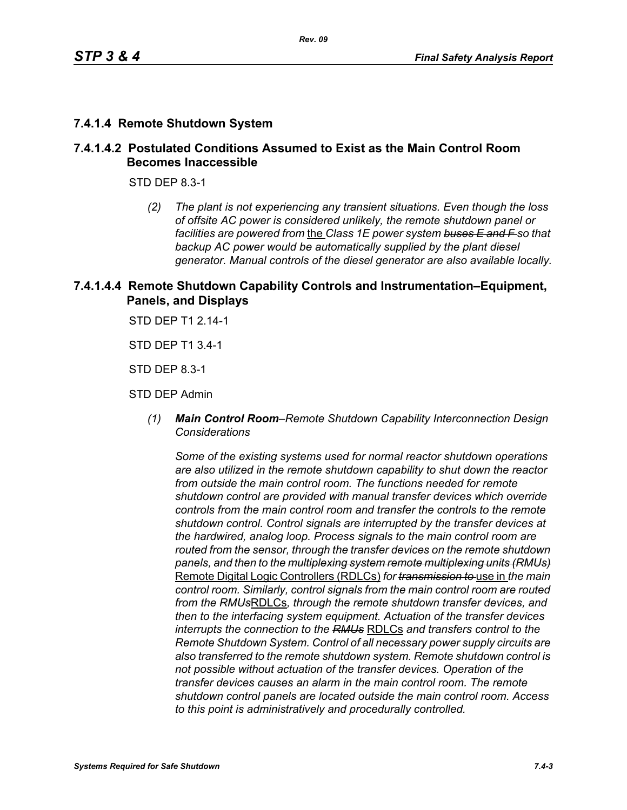# **7.4.1.4 Remote Shutdown System**

## **7.4.1.4.2 Postulated Conditions Assumed to Exist as the Main Control Room Becomes Inaccessible**

STD DEP 8.3-1

*(2) The plant is not experiencing any transient situations. Even though the loss of offsite AC power is considered unlikely, the remote shutdown panel or facilities are powered from* the *Class 1E power system buses E and F so that backup AC power would be automatically supplied by the plant diesel generator. Manual controls of the diesel generator are also available locally.*

## **7.4.1.4.4 Remote Shutdown Capability Controls and Instrumentation–Equipment, Panels, and Displays**

STD DEP T1 2.14-1

STD DEP T1 3.4-1

STD DEP 8.3-1

STD DEP Admin

*(1) Main Control Room–Remote Shutdown Capability Interconnection Design Considerations*

*Some of the existing systems used for normal reactor shutdown operations are also utilized in the remote shutdown capability to shut down the reactor from outside the main control room. The functions needed for remote shutdown control are provided with manual transfer devices which override controls from the main control room and transfer the controls to the remote shutdown control. Control signals are interrupted by the transfer devices at the hardwired, analog loop. Process signals to the main control room are routed from the sensor, through the transfer devices on the remote shutdown panels, and then to the multiplexing system remote multiplexing units (RMUs)* Remote Digital Logic Controllers (RDLCs) *for transmission to* use in *the main control room. Similarly, control signals from the main control room are routed from the RMUs*RDLCs*, through the remote shutdown transfer devices, and then to the interfacing system equipment. Actuation of the transfer devices interrupts the connection to the RMUs* RDLCs *and transfers control to the Remote Shutdown System. Control of all necessary power supply circuits are also transferred to the remote shutdown system. Remote shutdown control is not possible without actuation of the transfer devices. Operation of the transfer devices causes an alarm in the main control room. The remote shutdown control panels are located outside the main control room. Access to this point is administratively and procedurally controlled.*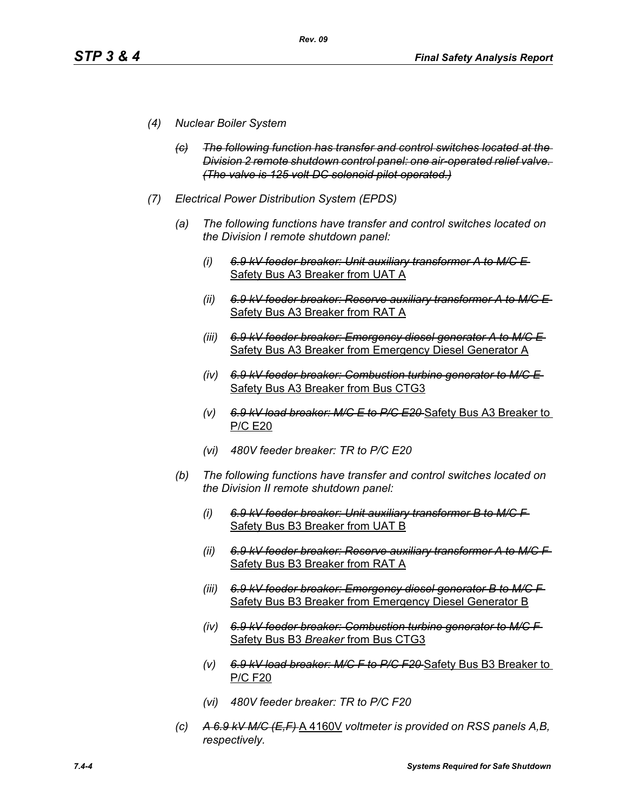- *(4) Nuclear Boiler System*
	- *(c) The following function has transfer and control switches located at the Division 2 remote shutdown control panel: one air-operated relief valve. (The valve is 125 volt DC solenoid pilot operated.)*
- *(7) Electrical Power Distribution System (EPDS)*
	- *(a) The following functions have transfer and control switches located on the Division I remote shutdown panel:*
		- *(i) 6.9 kV feeder breaker: Unit auxiliary transformer A to M/C E*  Safety Bus A3 Breaker from UAT A
		- *(ii) 6.9 kV feeder breaker: Reserve auxiliary transformer A to M/C E*  Safety Bus A3 Breaker from RAT A
		- *(iii) 6.9 kV feeder breaker: Emergency diesel generator A to M/C E*  Safety Bus A3 Breaker from Emergency Diesel Generator A
		- *(iv) 6.9 kV feeder breaker: Combustion turbine generator to M/C E*  Safety Bus A3 Breaker from Bus CTG3
		- *(v) 6.9 kV load breaker: M/C E to P/C E20* Safety Bus A3 Breaker to P/C E20
		- *(vi) 480V feeder breaker: TR to P/C E20*
	- *(b) The following functions have transfer and control switches located on the Division II remote shutdown panel:*
		- *(i) 6.9 kV feeder breaker: Unit auxiliary transformer B to M/C F*  Safety Bus B3 Breaker from UAT B
		- *(ii) 6.9 kV feeder breaker: Reserve auxiliary transformer A to M/C F*  Safety Bus B3 Breaker from RAT A
		- *(iii) 6.9 kV feeder breaker: Emergency diesel generator B to M/C F*  Safety Bus B3 Breaker from Emergency Diesel Generator B
		- *(iv) 6.9 kV feeder breaker: Combustion turbine generator to M/C F*  Safety Bus B3 *Breaker* from Bus CTG3
		- *(v) 6.9 kV load breaker: M/C F to P/C F20* Safety Bus B3 Breaker to P/C F20
		- *(vi) 480V feeder breaker: TR to P/C F20*
	- *(c) A 6.9 kV M/C (E,F)* A 4160V *voltmeter is provided on RSS panels A,B, respectively.*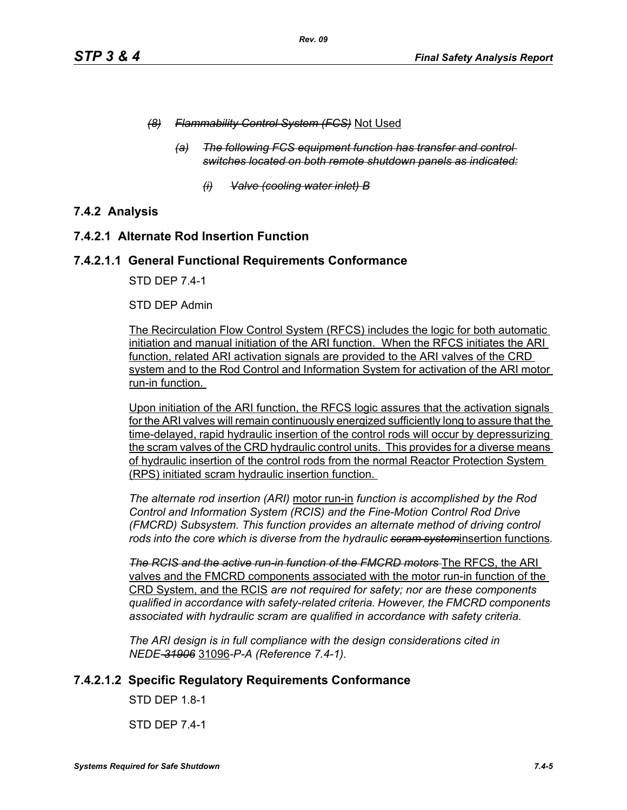- *(8) Flammability Control System (FCS)* Not Used
	- *(a) The following FCS equipment function has transfer and control switches located on both remote shutdown panels as indicated:*
		- *(i) Valve (cooling water inlet) B*

# **7.4.2 Analysis**

## **7.4.2.1 Alternate Rod Insertion Function**

## **7.4.2.1.1 General Functional Requirements Conformance**

STD DEP 7.4-1

#### STD DEP Admin

The Recirculation Flow Control System (RFCS) includes the logic for both automatic initiation and manual initiation of the ARI function. When the RFCS initiates the ARI function, related ARI activation signals are provided to the ARI valves of the CRD system and to the Rod Control and Information System for activation of the ARI motor run-in function.

Upon initiation of the ARI function, the RFCS logic assures that the activation signals for the ARI valves will remain continuously energized sufficiently long to assure that the time-delayed, rapid hydraulic insertion of the control rods will occur by depressurizing the scram valves of the CRD hydraulic control units. This provides for a diverse means of hydraulic insertion of the control rods from the normal Reactor Protection System (RPS) initiated scram hydraulic insertion function.

*The alternate rod insertion (ARI)* motor run-in *function is accomplished by the Rod Control and Information System (RCIS) and the Fine-Motion Control Rod Drive (FMCRD) Subsystem. This function provides an alternate method of driving control rods into the core which is diverse from the hydraulic scram system*insertion functions*.*

**The RCIS and the active run-in function of the FMCRD motors** The RFCS, the ARI valves and the FMCRD components associated with the motor run-in function of the CRD System, and the RCIS *are not required for safety; nor are these components qualified in accordance with safety-related criteria. However, the FMCRD components associated with hydraulic scram are qualified in accordance with safety criteria.*

*The ARI design is in full compliance with the design considerations cited in NEDE-31906* 31096*-P-A (Reference 7.4-1).* 

# **7.4.2.1.2 Specific Regulatory Requirements Conformance**

STD DEP 1.8-1

STD DEP 7.4-1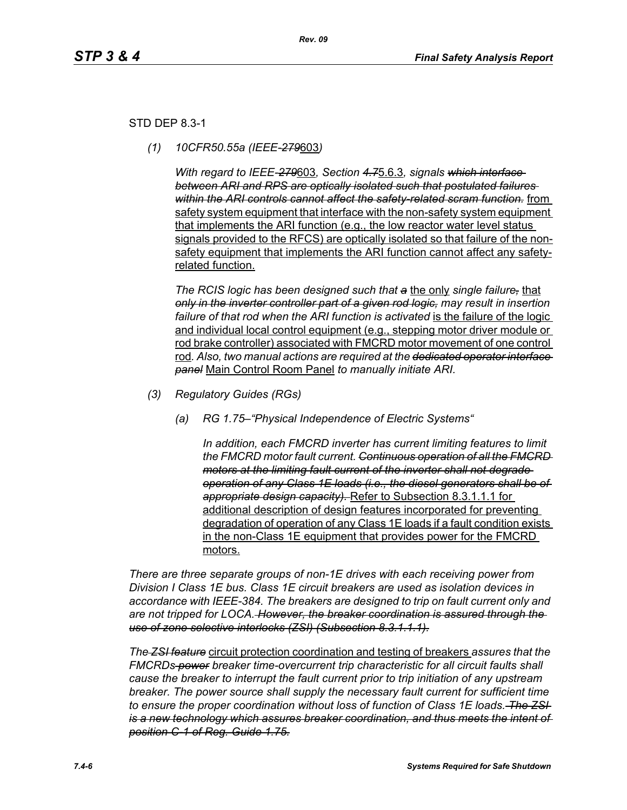## STD DEP 8.3-1

*(1) 10CFR50.55a (IEEE-279*603*)*

*With regard to IEEE-279*603*, Section 4.7*5.6.3*, signals which interface between ARI and RPS are optically isolated such that postulated failures within the ARI controls cannot affect the safety-related scram function.* from safety system equipment that interface with the non-safety system equipment that implements the ARI function (e.g., the low reactor water level status signals provided to the RFCS) are optically isolated so that failure of the nonsafety equipment that implements the ARI function cannot affect any safetyrelated function.

*The RCIS logic has been designed such that a* the only *single failure,* that *only in the inverter controller part of a given rod logic, may result in insertion*  failure of that rod when the ARI function is activated is the failure of the logic and individual local control equipment (e.g., stepping motor driver module or rod brake controller) associated with FMCRD motor movement of one control rod*. Also, two manual actions are required at the dedicated operator interface panel* Main Control Room Panel *to manually initiate ARI.* 

- *(3) Regulatory Guides (RGs)*
	- *(a) RG 1.75–"Physical Independence of Electric Systems"*

*In addition, each FMCRD inverter has current limiting features to limit the FMCRD motor fault current. Continuous operation of all the FMCRD motors at the limiting fault current of the inverter shall not degrade operation of any Class 1E loads (i.e., the diesel generators shall be of appropriate design capacity).* Refer to Subsection 8.3.1.1.1 for additional description of design features incorporated for preventing degradation of operation of any Class 1E loads if a fault condition exists in the non-Class 1E equipment that provides power for the FMCRD motors.

*There are three separate groups of non-1E drives with each receiving power from Division I Class 1E bus. Class 1E circuit breakers are used as isolation devices in accordance with IEEE-384. The breakers are designed to trip on fault current only and are not tripped for LOCA. However, the breaker coordination is assured through the use of zone selective interlocks (ZSI) (Subsection 8.3.1.1.1).*

*The ZSI feature* circuit protection coordination and testing of breakers *assures that the FMCRDs power breaker time-overcurrent trip characteristic for all circuit faults shall cause the breaker to interrupt the fault current prior to trip initiation of any upstream breaker. The power source shall supply the necessary fault current for sufficient time to ensure the proper coordination without loss of function of Class 1E loads. The ZSI is a new technology which assures breaker coordination, and thus meets the intent of position C-1 of Reg. Guide 1.75.*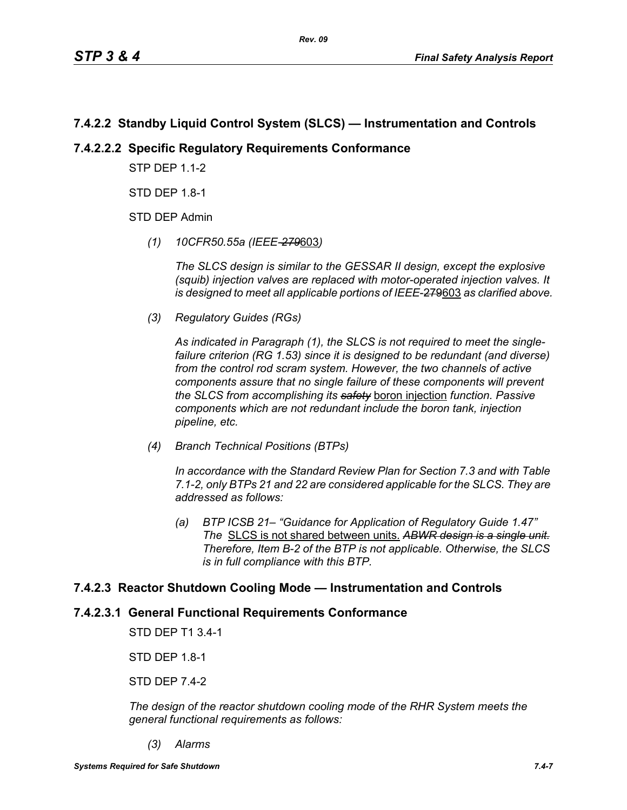# **7.4.2.2 Standby Liquid Control System (SLCS) — Instrumentation and Controls**

# **7.4.2.2.2 Specific Regulatory Requirements Conformance**

**STP DFP 1 1-2** 

STD DEP 1.8-1

STD DEP Admin

*(1) 10CFR50.55a (IEEE-279*603*)*

*The SLCS design is similar to the GESSAR II design, except the explosive (squib) injection valves are replaced with motor-operated injection valves. It is designed to meet all applicable portions of IEEE*-279603 *as clarified above.*

*(3) Regulatory Guides (RGs)*

*As indicated in Paragraph (1), the SLCS is not required to meet the singlefailure criterion (RG 1.53) since it is designed to be redundant (and diverse) from the control rod scram system. However, the two channels of active components assure that no single failure of these components will prevent the SLCS from accomplishing its safety* boron injection *function. Passive components which are not redundant include the boron tank, injection pipeline, etc.*

*(4) Branch Technical Positions (BTPs)*

*In accordance with the Standard Review Plan for Section 7.3 and with Table 7.1-2, only BTPs 21 and 22 are considered applicable for the SLCS. They are addressed as follows:*

*(a) BTP ICSB 21– "Guidance for Application of Regulatory Guide 1.47" The* SLCS is not shared between units. *ABWR design is a single unit. Therefore, Item B-2 of the BTP is not applicable. Otherwise, the SLCS is in full compliance with this BTP.*

# **7.4.2.3 Reactor Shutdown Cooling Mode — Instrumentation and Controls**

# **7.4.2.3.1 General Functional Requirements Conformance**

STD DEP T1 3.4-1

STD DEP 1.8-1

STD DEP 7.4-2

*The design of the reactor shutdown cooling mode of the RHR System meets the general functional requirements as follows:*

*(3) Alarms*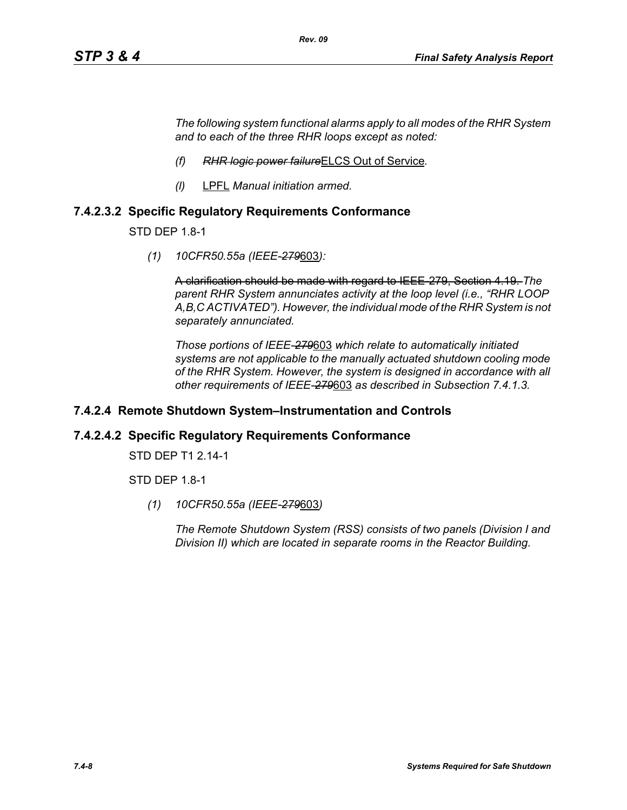*The following system functional alarms apply to all modes of the RHR System and to each of the three RHR loops except as noted:*

- *(f) RHR logic power failure*ELCS Out of Service*.*
- *(l)* LPFL *Manual initiation armed.*

## **7.4.2.3.2 Specific Regulatory Requirements Conformance**

STD DEP 1.8-1

*(1) 10CFR50.55a (IEEE-279*603*):*

A clarification should be made with regard to IEEE-279, Section 4.19. *The parent RHR System annunciates activity at the loop level (i.e., "RHR LOOP A,B,C ACTIVATED"). However, the individual mode of the RHR System is not separately annunciated.*

*Those portions of IEEE-279*603 *which relate to automatically initiated systems are not applicable to the manually actuated shutdown cooling mode of the RHR System. However, the system is designed in accordance with all other requirements of IEEE-279*603 *as described in Subsection 7.4.1.3.*

#### **7.4.2.4 Remote Shutdown System–Instrumentation and Controls**

#### **7.4.2.4.2 Specific Regulatory Requirements Conformance**

STD DEP T1 2.14-1

STD DEP 1.8-1

*(1) 10CFR50.55a (IEEE-279*603*)*

*The Remote Shutdown System (RSS) consists of two panels (Division I and Division II) which are located in separate rooms in the Reactor Building.*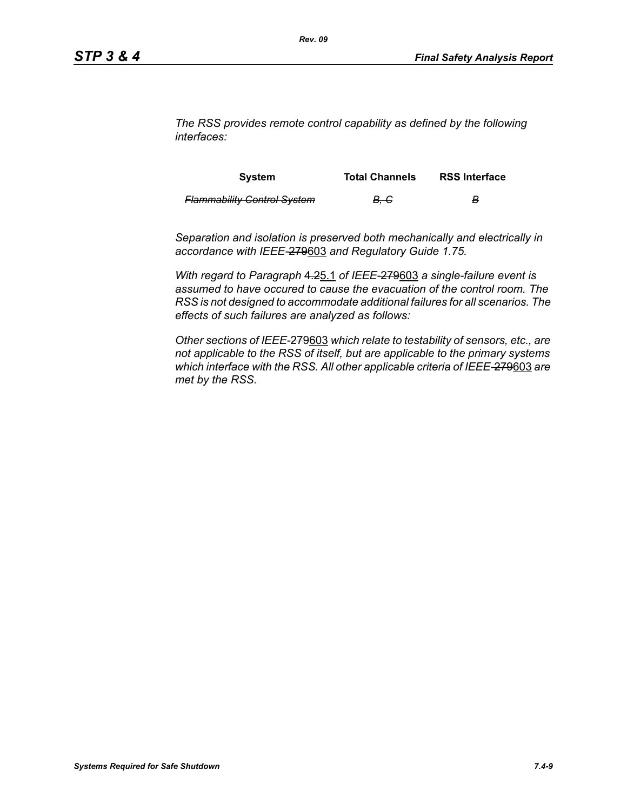*The RSS provides remote control capability as defined by the following interfaces:*

| <b>System</b>                      | <b>Total Channels</b> | <b>RSS Interface</b> |
|------------------------------------|-----------------------|----------------------|
| <b>Flammability Control System</b> | <del>B. C</del>       | в                    |

*Separation and isolation is preserved both mechanically and electrically in accordance with IEEE-*279603 *and Regulatory Guide 1.75.*

*With regard to Paragraph* 4.25.1 *of IEEE-*279603 *a single-failure event is assumed to have occured to cause the evacuation of the control room. The RSS is not designed to accommodate additional failures for all scenarios. The effects of such failures are analyzed as follows:*

*Other sections of IEEE-*279603 *which relate to testability of sensors, etc., are not applicable to the RSS of itself, but are applicable to the primary systems which interface with the RSS. All other applicable criteria of IEEE-*279603 *are met by the RSS.*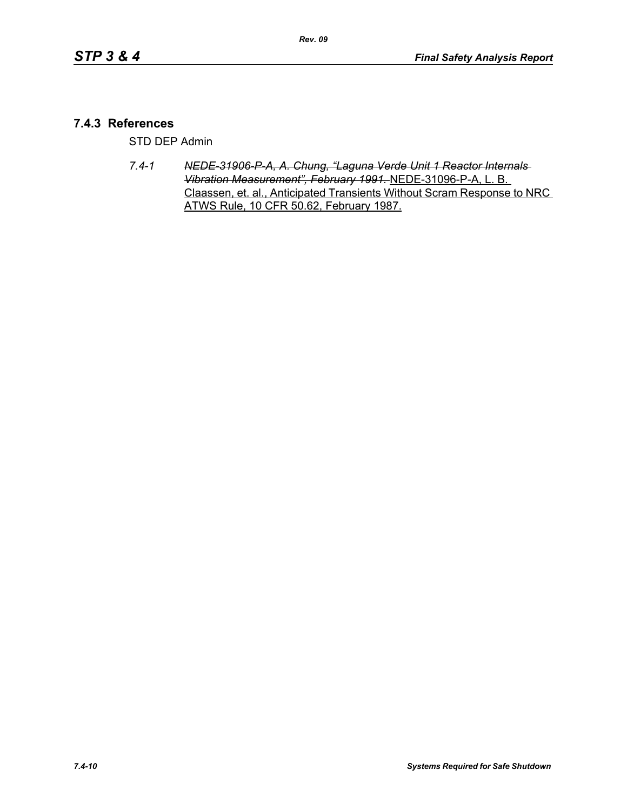# **7.4.3 References**

STD DEP Admin

*7.4-1 NEDE-31906-P-A, A. Chung, "Laguna Verde Unit 1 Reactor Internals Vibration Measurement", February 1991.* NEDE-31096-P-A, L. B. Claassen, et. al., Anticipated Transients Without Scram Response to NRC ATWS Rule, 10 CFR 50.62, February 1987.